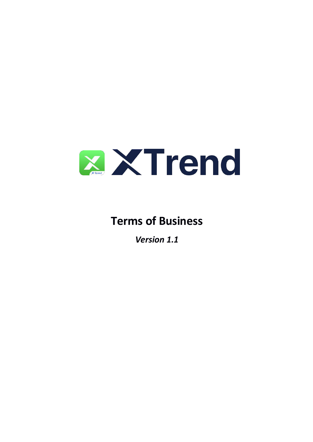

# **Terms of Business**

*Version 1.1*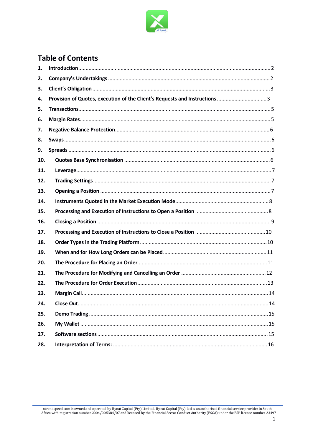

# **Table of Contents**

| 1.  |  |
|-----|--|
| 2.  |  |
| 3.  |  |
| 4.  |  |
| 5.  |  |
| 6.  |  |
| 7.  |  |
| 8.  |  |
| 9.  |  |
| 10. |  |
| 11. |  |
| 12. |  |
| 13. |  |
| 14. |  |
| 15. |  |
| 16. |  |
| 17. |  |
| 18. |  |
| 19. |  |
| 20. |  |
| 21. |  |
| 22. |  |
| 23. |  |
| 24. |  |
| 25. |  |
| 26. |  |
| 27. |  |
| 28. |  |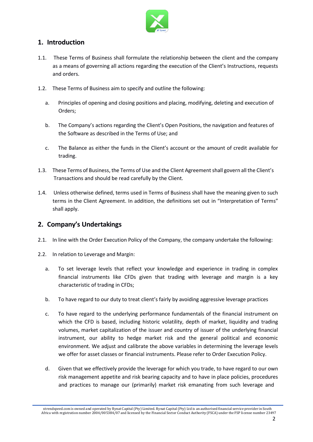

# **1. Introduction**

- 1.1. These Terms of Business shall formulate the relationship between the client and the company as a means of governing all actions regarding the execution of the Client's Instructions, requests and orders.
- 1.2. These Terms of Business aim to specify and outline the following:
	- a. Principles of opening and closing positions and placing, modifying, deleting and execution of Orders;
	- b. The Company's actions regarding the Client's Open Positions, the navigation and features of the Software as described in the Terms of Use; and
	- c. The Balance as either the funds in the Client's account or the amount of credit available for trading.
- 1.3. These Terms of Business, the Terms of Use and the Client Agreement shall govern all the Client's Transactions and should be read carefully by the Client.
- 1.4. Unless otherwise defined, terms used in Terms of Business shall have the meaning given to such terms in the Client Agreement. In addition, the definitions set out in "Interpretation of Terms" shall apply.

# **2. Company's Undertakings**

- 2.1. In line with the Order Execution Policy of the Company, the company undertake the following:
- 2.2. In relation to Leverage and Margin:
	- a. To set leverage levels that reflect your knowledge and experience in trading in complex financial instruments like CFDs given that trading with leverage and margin is a key characteristic of trading in CFDs;
	- b. To have regard to our duty to treat client's fairly by avoiding aggressive leverage practices
	- c. To have regard to the underlying performance fundamentals of the financial instrument on which the CFD is based, including historic volatility, depth of market, liquidity and trading volumes, market capitalization of the issuer and country of issuer of the underlying financial instrument, our ability to hedge market risk and the general political and economic environment. We adjust and calibrate the above variables in determining the leverage levels we offer for asset classes or financial instruments. Please refer to Order Execution Policy.
	- d. Given that we effectively provide the leverage for which you trade, to have regard to our own risk management appetite and risk bearing capacity and to have in place policies, procedures and practices to manage our (primarily) market risk emanating from such leverage and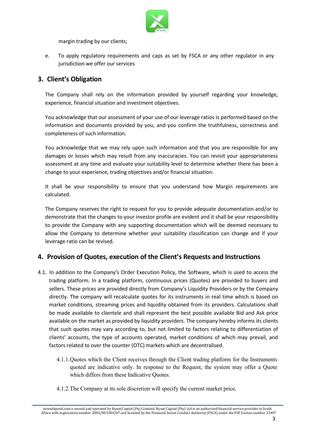

margin trading by our clients;

e. To apply regulatory requirements and caps as set by FSCA or any other regulator in any jurisdiction we offer our services

# **3. Client's Obligation**

The Company shall rely on the information provided by yourself regarding your knowledge, experience, financial situation and investment objectives.

You acknowledge that our assessment of your use of our leverage ratios is performed based on the information and documents provided byyou, and you confirm the truthfulness, correctness and completeness of such information.

You acknowledge that we may rely upon such information and that you are responsible for any damages or losses which may result from any inaccuracies. You can revisit your appropriateness assessment at any time and evaluate your suitability level to determine whether there has been a change to your experience, trading objectives and/or financial situation.

It shall be your responsibility to ensure that you understand how Margin requirements are calculated.

The Company reserves the right to request for you to provide adequate documentation and/or to demonstrate that the changes to your investor profile are evident and it shall be your responsibility to provide the Company with any supporting documentation which will be deemed necessary to allow the Company to determine whether your suitability classification can change and if your leverage ratio can be revised.

#### **4. Provision of Quotes, execution of the Client's Requests and Instructions**

- 4.1. In addition to the Company's Order Execution Policy, the Software, which is used to access the trading platform.In a trading platform, continuous prices (Quotes) are provided to buyers and sellers. These prices are provided directly from Company's Liquidity Providers or by the Company directly. The company will recalculate quotes for its instruments in real time which is based on market conditions, streaming prices and liquidity obtained from its providers. Calculations shall be made available to clientele and shall represent the best possible available Bid and Ask price available on the market as provided by liquidity providers. The company hereby informs its clients that such quotes may vary according to, but not limited to factors relating to differentiation of clients' accounts, the type of accounts operated, market conditions of which may prevail, and factors related to over the counter (OTC) markets which are decentralised.
	- 4.1.1. Quotes which the Client receives through the Client trading platform for the Instruments quoted are indicative only. In response to the Request, the system may offer a Quote which differs from these Indicative Quotes.
	- 4.1.2.The Company at itssole discretion will specify the current market price.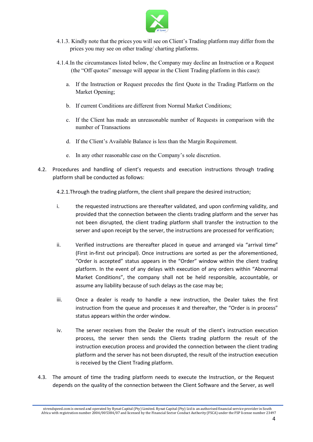

- 4.1.3. Kindly note that the prices you will see on Client's Trading platform may differ from the prices you may see on other trading/ charting platforms.
- 4.1.4.In the circumstances listed below, the Company may decline an Instruction or a Request (the "Off quotes" message will appear in the Client Trading platform in this case):
	- a. If the Instruction or Request precedes the first Quote in the Trading Platform on the Market Opening;
	- b. If current Conditions are different from Normal Market Conditions;
	- c. If the Client has made an unreasonable number of Requests in comparison with the number of Transactions
	- d. If the Client's Available Balance is less than the Margin Requirement.
	- e. In any other reasonable case on the Company's sole discretion.
- 4.2. Procedures and handling of client's requests and execution instructions through trading platform shall be conducted as follows:
	- 4.2.1.Through the trading platform, the client shall prepare the desired instruction;
	- i. the requested instructions are thereafter validated, and upon confirming validity, and provided that the connection between the clients trading platform and the server has not been disrupted, the client trading platform shall transfer the instruction to the server and upon receipt by the server, the instructions are processed for verification;
	- ii. Verified instructions are thereafter placed in queue and arranged via "arrival time" (First in-first out principal). Once instructions are sorted as per the aforementioned, "Order is accepted" status appears in the "Order" window within the client trading platform. In the event of any delays with execution of any orders within "Abnormal Market Conditions", the company shall not be held responsible, accountable, or assume any liability because of such delays as the case may be;
	- iii. Once a dealer is ready to handle a new instruction, the Dealer takes the first instruction from the queue and processes it and thereafter, the "Order is in process" status appears within the order window.
	- iv. The server receives from the Dealer the result of the client's instruction execution process, the server then sends the Clients trading platform the result of the instruction execution process and provided the connection between the client trading platform and the server has not been disrupted, the result of the instruction execution is received by the Client Trading platform.
- 4.3. The amount of time the trading platform needs to execute the Instruction, or the Request depends on the quality of the connection between the Client Software and the Server, as well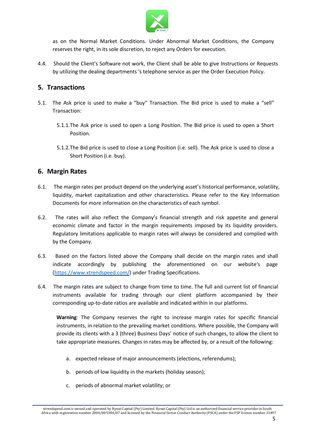

as on the Normal Market Conditions. Under Abnormal Market Conditions, the Company reserves the right, in its sole discretion, to reject any Orders for execution.

4.4. Should the Client's Software not work, the Client shall be able to give Instructions or Requests by utilizing the dealing departments 's telephone service as per the Order Execution Policy.

#### **5. Transactions**

- 5.1. The Ask price is used to make a "buy" Transaction. The Bid price is used to make a "sell" Transaction:
	- 5.1.1.The Ask price is used to open a Long Position. The Bid price is used to open a Short Position.
	- 5.1.2.The Bid price is used to close a Long Position (i.e. sell). The Ask price is used to close a Short Position (i.e. buy).

#### **6. Margin Rates**

- 6.1. The margin rates per product depend on the underlying asset's historical performance, volatility, liquidity, market capitalization and other characteristics. Please refer to the Key Information Documents for more information on the characteristics of each symbol.
- 6.2. The rates will also reflect the Company's financial strength and risk appetite and general economic climate and factor in the margin requirements imposed by its liquidity providers. Regulatory limitations applicable to margin rates will always be considered and complied with by the Company.
- 6.3. Based on the factors listed above the Company shall decide on the margin rates and shall indicate accordingly by publishing the aforementioned on our website's page ([https://www.xtrendspeed.com/\)](https://www.xtrendspeed.com/) under Trading [Specifications.](https://www.xhorns.com/page/account-types/account-type)
- 6.4. The margin rates are subject to change from time to time. The fulland current list of financial instruments available for trading through our client platform accompanied by their corresponding up-to-date ratios are available and indicated within in our platforms.

Warning: The Company reserves the right to increase margin rates for specific financial instruments, in relation to the prevailing market conditions. Where possible, the Company will provide its clients with a 3 (three) Business Days' notice of such changes, to allow the client to take appropriate measures. Changes in rates may be affected by, or a result of the following:

- a. expected release of major announcements (elections, referendums);
- b. periods of low liquidity in the markets (holiday season);
- c. periods of abnormal market volatility; or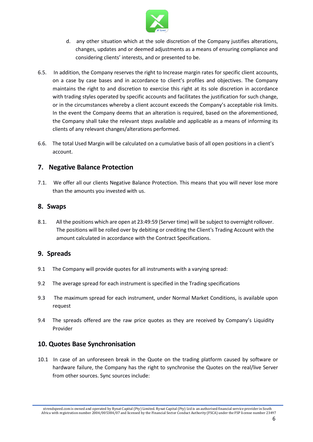

- d. any other situation which at the sole discretion of the Company justifies alterations, changes, updates and or deemed adjustments as a means of ensuring compliance and considering clients' interests, and or presented to be.
- 6.5. In addition, the Company reserves the right to Increase margin rates for specific client accounts, on acase by case bases and in accordance to client's profiles and objectives. The Company maintains the right to and discretion to exercise this right at its sole discretion in accordance with trading styles operated by specific accounts and facilitates the justification for such change, or in the circumstances whereby a client account exceeds the Company's acceptable risk limits. In the event the Company deems that an alteration is required, based on the aforementioned, the Company shall take the relevant steps available and applicable as a means of informing its clients of any relevant changes/alterations performed.
- 6.6. The total Used Margin will be calculated on a cumulative basis of all open positions in a client's account.

#### **7. Negative Balance Protection**

7.1. We offer all our clients Negative Balance Protection. This means that you will never lose more than the amounts you invested with us.

# **8. Swaps**

8.1. All the positions which are open at 23:49:59 (Server time) will be subject to overnight rollover. The positions will be rolled over by debiting or crediting the Client's Trading Account with the amount calculated in accordance with the Contract Specifications.

#### **9. Spreads**

- 9.1 The Company will provide quotes for all instruments with a varying spread:
- 9.2 The average spread for each instrument is specified in the Trading specifications
- 9.3 The maximum spread for each instrument, under Normal Market Conditions, is available upon request
- 9.4 The spreads offered are the raw price quotes as they are received by Company's Liquidity Provider

#### **10. Quotes Base Synchronisation**

10.1 In case of an unforeseen break in the Quote on the trading platform caused by software or hardware failure, the Company has the right to synchronise the Quotes on the real/live Server from other sources. Sync sources include: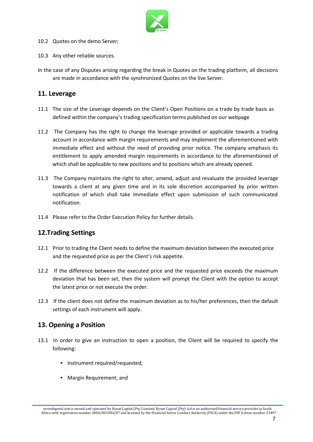

- 10.2 Quotes on the demo Server;
- 10.3 Any other reliable sources.
- In the case of any Disputes arising regarding the break in Quotes on the trading platform, all decisions are made in accordance with the synchronized Quotes on the live Server.

#### **11. Leverage**

- 11.1 The size of the Leverage depends on the Client's Open Positions on a trade by trade basis as defined within the company's trading specification terms published on our webpage
- 11.2 The Company has the right to change the leverage provided or applicable towards a trading account in accordance with margin requirements and may implement the aforementioned with immediate effect and without the need of providing prior notice. The company emphasis its entitlement to apply amended margin requirements in accordance to the aforementioned of which shall be applicable to new positions and to positions which are already opened.
- 11.3 The Company maintains the right to alter, amend, adjust and revaluate the provided leverage towards a client at any given time and in its sole discretion accompanied by prior written notification of which shall take immediate effect upon submission of such communicated notification.
- 11.4 Please refer to the Order Execution Policy for further details.

#### **12.Trading Settings**

- 12.1 Prior to trading the Client needs to define the maximum deviation between the executed price and the requested price as per the Client's risk appetite.<br>12.2 If the difference between the executed price and the requested price exceeds the maximum
- deviation that has been set, then the system will prompt the Client with the option to accept the latest price or not execute the order.
- 12.3 If the client does not define the maximum deviation as to his/her preferences, then the default settings of each instrument will apply.

#### **13. Opening a Position**

- 13.1 In order to give an instruction to open a position, the Client will be required to specify the following:
	- Instrument required/requested;
	- Margin Requirement; and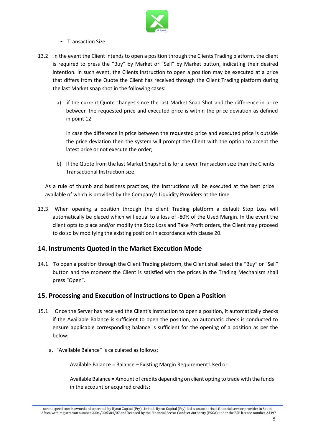

- Transaction Size.
- 13.2 in the event the Client intends to open a position through the Clients Trading platform, the client is required to press the "Buy" by Market or "Sell" by Market button, indicating their desired intention. In such event, the Clients Instruction to open a position may be executed at a price that differs from the Quote the Client has received through the Client Trading platform during the last Market snap shot in the following cases:
	- a) if the current Quote changes since the last Market Snap Shot and the difference in price between the requested price and executed price is within the price deviation as defined in point 12

In case the difference in price between the requested price and executed price is outside the price deviation then the system will prompt the Client with the option to accept the latest price or not execute the order;

b) If the Quote from the last Market Snapshot is for a lower Transaction size than the Clients Transactional Instruction size.

As a rule of thumb and business practices, the Instructions will be executed at the best price available of which is provided by the Company's Liquidity Providers at the time.

13.3 When opening a position through the client Trading platform a default Stop Loss will automatically be placed which will equal to a loss of -80% of the Used Margin. In the event the client opts to place and/or modify the Stop Loss and Take Profit orders, the Client may proceed to do so by modifying the existing position in accordance with clause 20.

#### **14. Instruments Quoted in the Market Execution Mode**

14.1 To open a position through the Client Trading platform, the Client shall select the "Buy" or "Sell" button and the moment the Client is satisfied with the prices in the Trading Mechanism shall press "Open".

#### **15. Processing and Execution of Instructions to Open a Position**

- 15.1 Once the Server has received the Client's Instruction to open a position, it automatically checks if the Available Balance is sufficient to open the position, an automatic check is conducted to ensure applicable corresponding balance is sufficient for the opening of a position as per the below:
	- a. "Available Balance" is calculated as follows:

Available Balance = Balance – Existing Margin Requirement Used or

Available Balance = Amount of credits depending on client opting to trade with the funds in the account or acquired credits;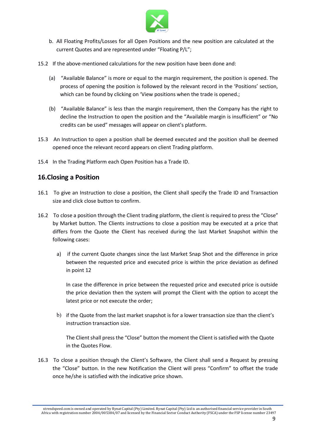

- b. All Floating Profits/Losses for all Open Positions and the new positionare calculated at the current Quotes and are represented under "Floating P/L";
- 15.2 If the above-mentioned calculations for the new position have been done and:
	- (a) "Available Balance" is more or equal to the margin requirement, the position is opened. The process of opening the position is followed by the relevant record in the 'Positions' section, which can be found by clicking on 'View positions when the trade is opened.;
	- (b) "Available Balance" is less than the margin requirement, then the Company has the right to decline the Instruction to open the position and the "Available margin is insufficient" or "No credits can be used" messages will appear on client's platform.
- 15.3 An Instruction to open a position shall be deemed executed and the position shall be deemed opened once the relevant record appears on client Trading platform.
- 15.4 In the Trading Platform each Open Position has a Trade ID.

# **16.Closing a Position**

- 16.1 To give an Instruction to close a position, the Client shall specify the Trade ID and Transaction size and click close button to confirm.
- 16.2 To close a position through the Client trading platform, the client is required to press the "Close" by Market button. The Clients instructions to close a position may be executed at a price that differs from the Quote the Client has received during the last Market Snapshot within the following cases:
	- a) if the current Quote changes since the last Market Snap Shot and the difference in price between the requested price and executed price is within the price deviation as defined in point 12

In case the difference in price between the requested price and executed price is outside the price deviation then the system will prompt the Client with the option to accept the latest price or not execute the order;

b) if the Quote from the last market snapshot is for a lower transaction size than the client's instruction transaction size.

The Client shall press the "Close" button the moment the Client is satisfied with the Quote in the Quotes Flow.

16.3 To close a position through the Client's Software, the Client shall send a Request by pressing the "Close" button. In the new Notification the Client will press "Confirm" to offset the trade once he/she is satisfied with the indicative price shown.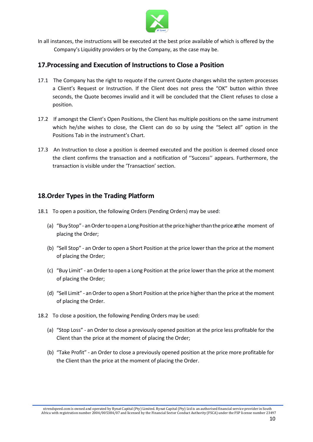

In all instances, the instructions will be executed at the best price available of which is offered by the Company's Liquidity providers or by the Company, as the case may be.

#### **17.Processing and Execution of Instructions to Close a Position**

- 17.1 The Company has the right to requote if the current Quote changes whilst the system processes a Client's Request or Instruction. If the Client does not press the "OK" button within three seconds, the Quote becomes invalid and it will be concluded that the Client refuses to close a position.
- 17.2 If amongst the Client's Open Positions, the Client has multiple positions on the same instrument which he/she wishes to close, the Client can do so by using the "Select all" option in the
- Positions Tab in the instrument's Chart.<br>17.3 An Instruction to close a position is deemed executed and the position is deemed closed once the client confirms the transaction and a notification of ''Success'' appears. Furthermore, the transaction is visible under the 'Transaction' section.

#### **18.Order Types in the Trading Platform**

- 18.1 To open a position, the following Orders (Pending Orders) may be used:
	- (a) "Buy Stop" an Order to open a Long Position at the price higher than the price at the moment of placing the Order;
	- (b) "Sell Stop" an Order to open a Short Position at the price lower than the price at the moment of placing the Order;
	- (c) "Buy Limit" an Order to open a Long Position at the price lower than the price at the moment of placing the Order;
	- (d) "Sell Limit" anOrderto open a Short Position atthe price higherthan the price atthe moment of placing the Order.
- 18.2 To close a position, the following Pending Orders may be used:
	- (a) "Stop Loss" an Order to close a previously opened position at the price less profitable for the Client than the price at the moment of placing the Order;
	- (b) "Take Profit" an Order to close a previously opened position at the price more profitable for the Client than the price at the moment of placing the Order.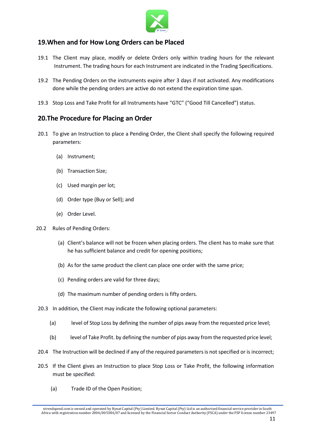

# **19.When and for How Long Orders can be Placed**

- 19.1 The Client may place, modify or delete Orders only within trading hours for the relevant Instrument. The trading hours for each Instrument are indicated in the Trading Specifications.
- 19.2 The Pending Orders on the instruments expire after 3 days if not activated. Any modifications done while the pending orders are active do not extend the expiration time span.
- 19.3 Stop Loss and Take Profit for all Instruments have "GTC" ("Good Till Cancelled") status.

#### **20.The Procedure for Placing an Order**

- 20.1 To give an Instruction to place a Pending Order, the Client shall specify the following required parameters:
	- (a) Instrument;
	- (b) Transaction Size;
	- (c) Used margin per lot;
	- (d) Order type (Buy or Sell); and
	- (e) Order Level.
- 20.2 Rules of Pending Orders:
	- (a) Client's balance will not be frozen when placing orders. The client has to make sure that he has sufficient balance and credit for opening positions;
	- (b) As for the same product the client can place one order with the same price;
	- (c) Pending orders are valid for three days;
	- (d) The maximum number of pending orders is fifty orders.
- 20.3 In addition, the Client may indicate the following optional parameters:
	- (a) level of Stop Loss by defining the number of pips away from the requested price level;
	- (b) level of Take Profit. by defining the number of pips away from the requested price level;
- 20.4 The Instruction will be declined if any of the required parametersis not specified or is incorrect;
- 20.5 If the Client gives an Instruction to place Stop Loss or Take Profit, the following information must be specified:
	- (a) Trade ID of the Open Position;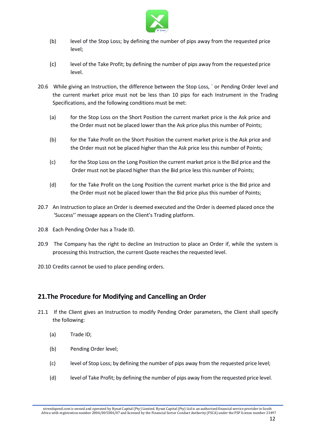

- (b) level of the Stop Loss; by defining the number of pips away from the requested price level;
- (c) level of the Take Profit; by defining the number of pips away from the requested price level.
- 20.6 While giving an Instruction, the difference between the Stop Loss, ` or Pending Order level and the current market price must not be less than 10 pips for each Instrument in the Trading Specifications, and the following conditions must be met:
	- (a) for the Stop Loss on the Short Position the current market price is the Ask price and the Order must not be placed lower than the Ask price plus this number of Points;
	- (b) for the Take Profit on the Short Position the current market price is the Ask price and the Order must not be placed higher than the Ask price less this number of Points;
	- (c) for the Stop Loss on the Long Position the current market price isthe Bid price and the Order must not be placed higher than the Bid price less this number of Points;
	- (d) for the Take Profit on the Long Position the current market price is the Bid price and the Order must not be placed lower than the Bid price plus this number of Points;
- 20.7 An Instruction to place an Order is deemed executed and the Order is deemed placed once the 'Success'' message appears on the Client's Trading platform.
- 20.8 Each Pending Order has a Trade ID.
- 20.9 The Company has the right to decline an Instruction to place an Order if, while the system is processing this Instruction, the current Quote reaches the requested level.
- 20.10 Credits cannot be used to place pending orders.

#### **21.The Procedure for Modifying and Cancelling an Order**

- 21.1 If the Client gives an Instruction to modify Pending Order parameters, the Client shall specify the following:
	- (a) Trade ID;
	- (b) Pending Order level;
	- (c) level of Stop Loss; by defining the number of pips away from the requested price level;
	- (d) level of Take Profit; by defining the number of pips away from the requested price level.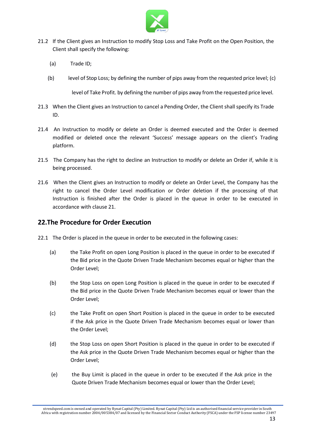

- 21.2 If the Client gives an Instruction to modify Stop Loss and Take Profit on the Open Position, the Client shall specify the following:
	- (a) Trade ID;
	- (b) level of Stop Loss; by defining the number of pips away from the requested price level; (c)

level of Take Profit. by defining the number of pips away from the requested price level.

- 21.3 When the Client gives an Instruction to cancel a Pending Order, the Client shall specify its Trade ID.
- 21.4 An Instruction to modify or delete an Order is deemed executed and the Order is deemed modified or deleted once the relevant 'Success' message appears on the client's Trading platform.
- 21.5 The Company has the right to decline an Instruction to modify or delete an Order if, while it is being processed.
- 21.6 When the Client gives an Instruction to modify or delete an Order Level, the Company has the right to cancel the Order Level modification or Order deletion if the processing of that Instruction is finished after the Order is placed in the queue in order to be executed in accordance with clause 21.

#### **22.The Procedure for Order Execution**

- 22.1 The Order is placed in the queue in order to be executed in the following cases:
	- (a) the Take Profit on open Long Position is placed in the queue in order to be executed if the Bid price in the Quote Driven Trade Mechanism becomes equal or higher than the Order Level;
	- (b) the Stop Loss on open Long Position is placed in the queue in order to be executed if the Bid price in the Quote Driven Trade Mechanism becomes equal or lower than the Order Level;
	- (c) the Take Profit on open Short Position is placed in the queue in order to be executed if the Ask price in the Quote Driven Trade Mechanism becomes equal or lower than the Order Level;
	- (d) the Stop Loss on open Short Position is placed in the queue in order to be executed if the Ask price in the Quote Driven Trade Mechanism becomes equal or higher than the Order Level;
	- (e) the Buy Limit is placed in the queue in order to be executed if the Ask price in the Quote Driven Trade Mechanism becomes equal or lower than the Order Level;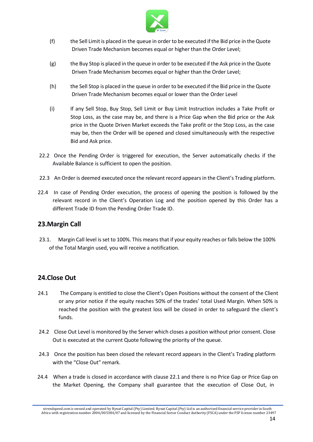

- (f) the Sell Limit is placed in the queue in order to be executed if the Bid price in theQuote Driven Trade Mechanism becomes equal or higher than the Order Level;
- (g) the Buy Stop is placed in the queue in order to be executed if the Ask price in the Quote Driven Trade Mechanism becomes equal or higher than the Order Level;
- (h) the Sell Stop is placed in the queue in order to be executed if the Bid price in the Quote Driven Trade Mechanism becomes equal or lower than the Order Level
- (i) If any Sell Stop, Buy Stop, Sell Limit or Buy Limit Instruction includes a Take Profit or Stop Loss, as the case may be, and there is a Price Gap when the Bid price or the Ask price in the Quote Driven Market exceeds the Take profit or the Stop Loss, as the case may be, then the Order will be opened and closed simultaneously with the respective Bid and Ask price.
- 22.2 Once the Pending Order is triggered for execution, the Server automatically checks if the Available Balance is sufficient to open the position.
- 22.3 An Order is deemed executed once the relevant record appears in the Client's Trading platform.
- 22.4 In case of Pending Order execution, the process of opening the position is followed by the relevant record in the Client's Operation Log and the position opened by this Order has a different Trade ID from the Pending Order Trade ID.

#### **23.Margin Call**

23.1. Margin Call level is set to 100%. This means that if your equity reaches or falls below the 100% of the Total Margin used, you will receive a notification.

#### **24.Close Out**

- 24.1 The Company is entitled to close the Client's Open Positions without the consent of the Client or any prior notice if the equity reaches 50% of the trades' total Used Margin. When 50% is reached the position with the greatest loss will be closed in order to safeguard the client's funds.
- 24.2 Close Out Level is monitored by the Server which closes a position without prior consent. Close Out is executed at the current Quote following the priority of the queue.
- 24.3 Once the position has been closed the relevant record appears in the Client's Trading platform with the "Close Out" remark.
- 24.4 When a trade is closed in accordance with clause 22.1 and there is no Price Gap or Price Gap on the Market Opening, the Company shall guarantee that the execution of Close Out, in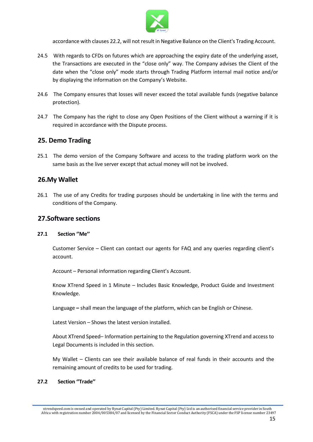

accordance with clauses 22.2, will not result in Negative Balance on the Client's Trading Account.

- 24.5 With regards to CFDs on futures which are approaching the expiry date of the underlying asset. the Transactions are executed in the "close only" way. The Company advises the Client of the date when the "close only" mode starts through Trading Platform internal mail notice and/or by displaying the information on the Company's Website.
- 24.6 The Company ensures that losses will never exceed the total available funds (negative balance protection).
- 24.7 The Company has the right to close any Open Positions of the Client without a warning if it is required in accordance with the Dispute process.

#### **25. Demo Trading**

25.1 The demo version of the Company Software and access to the trading platform work on the same basis as the live server except that actual money will not be involved.

#### **26.My Wallet**

26.1 The use of any Credits for trading purposes should be undertaking in line with the terms and conditions of the Company.

#### **27.Software sections**

#### **27.1 Section ''Me''**

Customer Service – Client can contact our agents for FAQ and any queries regarding client's account.

Account – Personal information regarding Client's Account.

Know XTrend Speed in 1 Minute – Includes Basic Knowledge, Product Guide and Investment Knowledge.

Language **–** shall mean the language of the platform, which can be English or Chinese.

Latest Version – Shows the latest version installed.

About XTrend Speed– Information pertaining to the Regulation governing XTrend and access to Legal Documents is included in this section.

My Wallet – Clients can see their available balance of real funds in their accounts and the remaining amount of credits to be used for trading.

#### **27.2 Section ''Trade''**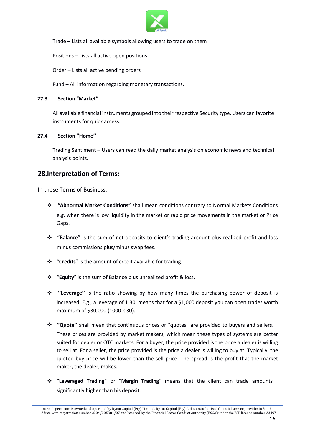

Trade – Lists all available symbols allowing users to trade on them

Positions – Lists all active open positions

Order – Listsall active pending orders

Fund – All information regarding monetary transactions.

#### **27.3 Section "Market"**

All available financial instruments grouped into theirrespective Security type. Users can favorite instruments for quick access.

#### **27.4 Section ''Home''**

Trading Sentiment – Users can read the daily market analysis on economic news and technical analysis points.

#### **28.Interpretation of Terms:**

In these Terms of Business:

- ❖ **"Abnormal Market Conditions"** shall mean conditions contrary to Normal Markets Conditions e.g. when there is low liquidity in the market or rapid price movements in the market or Price Gaps.
- ❖ "**Balance**" is the sum of net deposits to client's trading account plus realized profit and loss minus commissions plus/minus swap fees.
- ❖ "**Credits**" is the amount of credit available for trading.
- ❖ "**Equity**" is the sum of Balance plus unrealized profit & loss.
- ❖ **''Leverage''** is the ratio showing by how many times the purchasing power of deposit is increased. E.g., a leverage of 1:30, means that for a \$1,000 deposit you can open trades worth maximum of \$30,000 (1000 x 30).
- ❖ **''Quote''** shall mean that continuous prices or "quotes" are provided to buyers and sellers. These prices are provided by market makers, which mean these types of systems are better suited for dealer or OTC markets. For a buyer, the price provided is the price a dealer is willing to sell at. For a seller, the price provided is the price a dealer is willing to buy at.Typically, the quoted buy price will be lower than the sell price. The spread is the profit that the market maker, the dealer, makes.
- ❖ "**Leveraged Trading**" or "**Margin Trading**" means that the client can trade amounts significantly higher than his deposit.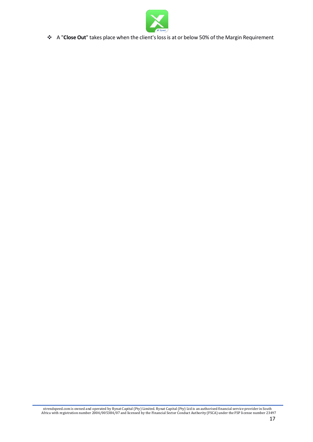

❖ A "**Close Out**" takes place when the client'sloss is at or below 50% of the Margin Requirement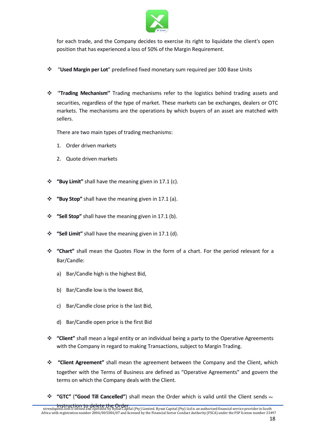

for each trade, and the Company decides to exercise its right to liquidate the client's open position that has experienced a loss of 50% of the Margin Requirement.

- ❖ "**Used Margin per Lot**" predefined fixed monetary sum required per 100 Base Units
- ❖ '**'Trading Mechanism''** Trading mechanisms refer to the logistics behind trading assets and securities, regardless of the type of market. These markets can be exchanges, dealers or OTC markets. The mechanisms are the operations by which buyers of an asset are matched with sellers.

There are two main types of trading mechanisms:

- 1. Order driven markets
- 2. Quote driven markets
- ❖ **"Buy Limit"** shall have the meaning given in 17.1 (c).
- ❖ **"Buy Stop"** shall have the meaning given in 17.1 (a).
- ❖ **"Sell Stop"** shall have the meaning given in 17.1 (b).
- ❖ **"Sell Limit"** shall have the meaning given in 17.1 (d).
- ❖ **"Chart"** shall mean the Quotes Flow in the form of a chart. For the period relevantfor a Bar/Candle:
	- a) Bar/Candle high is the highest Bid,
	-
	- b) Bar/Candle low is the lowest Bid,<br>c) Bar/Candle close price is the last Bid,
	- d) Bar/Candle open price is the first Bid
- ❖ **"Client"** shall mean a legal entity or an individual being a party to the Operative Agreements with the Company in regard to making Transactions, subject to Margin Trading.
- ❖ **"Client Agreement"** shall mean the agreement between the Company and the Client, which together with the Terms of Business are defined as "Operative Agreements" and govern the terms on which the Company deals with the Client.
- ❖ **"GTC"** (**"Good Till Cancelled"**) shall mean the Order which is valid until the Client sends the